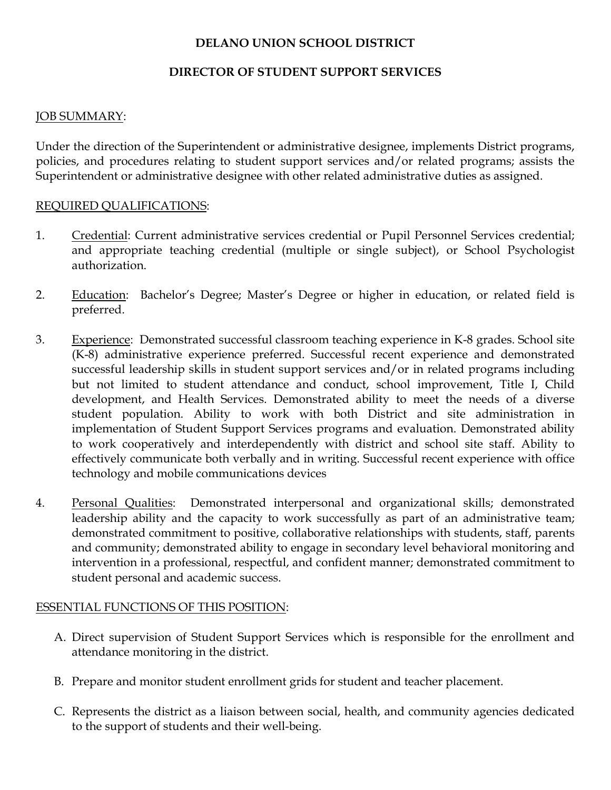# DELANO UNION SCHOOL DISTRICT

### DIRECTOR OF STUDENT SUPPORT SERVICES

#### JOB SUMMARY:

Under the direction of the Superintendent or administrative designee, implements District programs, policies, and procedures relating to student support services and/or related programs; assists the Superintendent or administrative designee with other related administrative duties as assigned.

#### REQUIRED QUALIFICATIONS:

- 1. Credential: Current administrative services credential or Pupil Personnel Services credential; and appropriate teaching credential (multiple or single subject), or School Psychologist authorization.
- 2. Education: Bachelor's Degree; Master's Degree or higher in education, or related field is preferred.
- 3. Experience: Demonstrated successful classroom teaching experience in K-8 grades. School site (K-8) administrative experience preferred. Successful recent experience and demonstrated successful leadership skills in student support services and/or in related programs including but not limited to student attendance and conduct, school improvement, Title I, Child development, and Health Services. Demonstrated ability to meet the needs of a diverse student population. Ability to work with both District and site administration in implementation of Student Support Services programs and evaluation. Demonstrated ability to work cooperatively and interdependently with district and school site staff. Ability to effectively communicate both verbally and in writing. Successful recent experience with office technology and mobile communications devices
- 4. Personal Qualities: Demonstrated interpersonal and organizational skills; demonstrated leadership ability and the capacity to work successfully as part of an administrative team; demonstrated commitment to positive, collaborative relationships with students, staff, parents and community; demonstrated ability to engage in secondary level behavioral monitoring and intervention in a professional, respectful, and confident manner; demonstrated commitment to student personal and academic success.

### ESSENTIAL FUNCTIONS OF THIS POSITION:

- A. Direct supervision of Student Support Services which is responsible for the enrollment and attendance monitoring in the district.
- B. Prepare and monitor student enrollment grids for student and teacher placement.
- C. Represents the district as a liaison between social, health, and community agencies dedicated to the support of students and their well-being.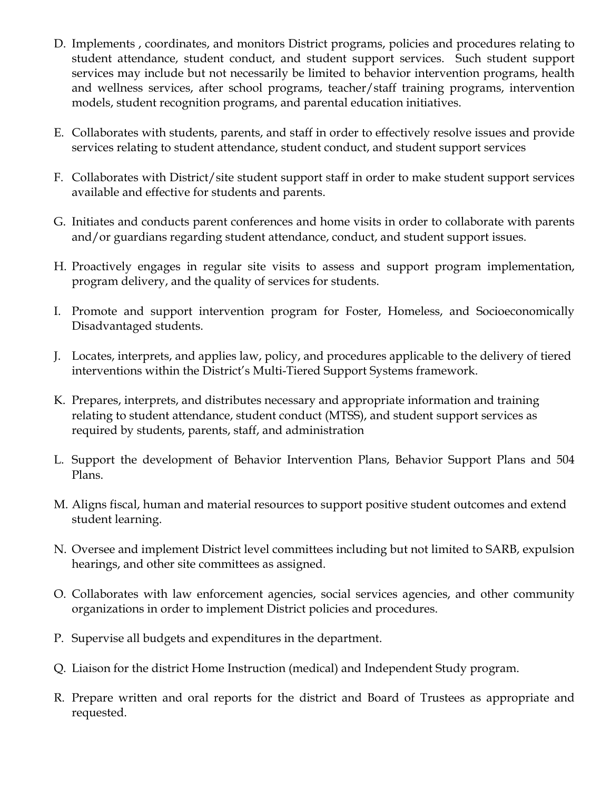- D. Implements , coordinates, and monitors District programs, policies and procedures relating to student attendance, student conduct, and student support services. Such student support services may include but not necessarily be limited to behavior intervention programs, health and wellness services, after school programs, teacher/staff training programs, intervention models, student recognition programs, and parental education initiatives.
- E. Collaborates with students, parents, and staff in order to effectively resolve issues and provide services relating to student attendance, student conduct, and student support services
- F. Collaborates with District/site student support staff in order to make student support services available and effective for students and parents.
- G. Initiates and conducts parent conferences and home visits in order to collaborate with parents and/or guardians regarding student attendance, conduct, and student support issues.
- H. Proactively engages in regular site visits to assess and support program implementation, program delivery, and the quality of services for students.
- I. Promote and support intervention program for Foster, Homeless, and Socioeconomically Disadvantaged students.
- J. Locates, interprets, and applies law, policy, and procedures applicable to the delivery of tiered interventions within the District's Multi-Tiered Support Systems framework.
- K. Prepares, interprets, and distributes necessary and appropriate information and training relating to student attendance, student conduct (MTSS), and student support services as required by students, parents, staff, and administration
- L. Support the development of Behavior Intervention Plans, Behavior Support Plans and 504 Plans.
- M. Aligns fiscal, human and material resources to support positive student outcomes and extend student learning.
- N. Oversee and implement District level committees including but not limited to SARB, expulsion hearings, and other site committees as assigned.
- O. Collaborates with law enforcement agencies, social services agencies, and other community organizations in order to implement District policies and procedures.
- P. Supervise all budgets and expenditures in the department.
- Q. Liaison for the district Home Instruction (medical) and Independent Study program.
- R. Prepare written and oral reports for the district and Board of Trustees as appropriate and requested.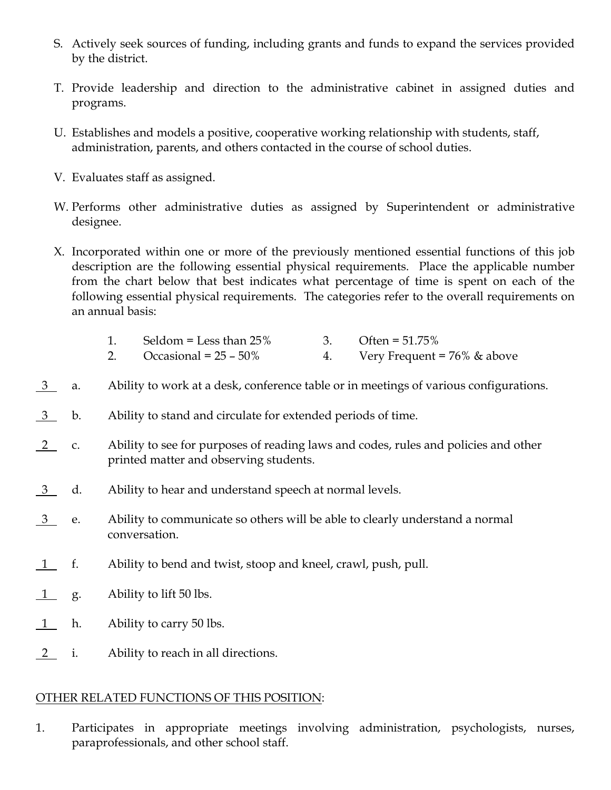- S. Actively seek sources of funding, including grants and funds to expand the services provided by the district.
- T. Provide leadership and direction to the administrative cabinet in assigned duties and programs.
- U. Establishes and models a positive, cooperative working relationship with students, staff, administration, parents, and others contacted in the course of school duties.
- V. Evaluates staff as assigned.
- W. Performs other administrative duties as assigned by Superintendent or administrative designee.
- X. Incorporated within one or more of the previously mentioned essential functions of this job description are the following essential physical requirements. Place the applicable number from the chart below that best indicates what percentage of time is spent on each of the following essential physical requirements. The categories refer to the overall requirements on an annual basis:

| Seldom = Less than $25\%$ | 3. Often = $51.75\%$ |
|---------------------------|----------------------|
| -- - -- -                 |                      |

- 2. Occasional =  $25 50\%$  4. Very Frequent =  $76\%$  & above
- 3 a. Ability to work at a desk, conference table or in meetings of various configurations.
- 3 b. Ability to stand and circulate for extended periods of time.
- 2 c. Ability to see for purposes of reading laws and codes, rules and policies and other printed matter and observing students.
- 3 d. Ability to hear and understand speech at normal levels.
- $\frac{3}{2}$  e. Ability to communicate so others will be able to clearly understand a normal conversation.
- 1 f. Ability to bend and twist, stoop and kneel, crawl, push, pull.
- 1 g. Ability to lift 50 lbs.
- 1 h. Ability to carry 50 lbs.
- 2 i. Ability to reach in all directions.

# OTHER RELATED FUNCTIONS OF THIS POSITION:

1. Participates in appropriate meetings involving administration, psychologists, nurses, paraprofessionals, and other school staff.